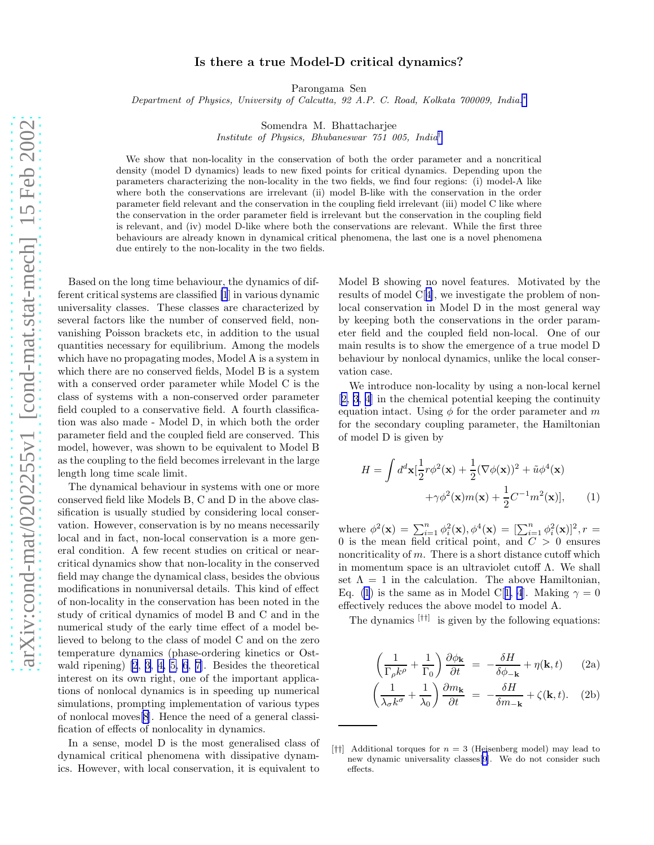## Is there a true Model-D critical dynamics?

Parongama Sen

<span id="page-0-0"></span>Department of Physics, University of Calcutta, 92 A.P. C. Road, Kolkata 700009, India.<sup>\*</sup>

Somendra M. Bhattacharjee

Institute of Physics, Bhubaneswar 751 005, India[†](#page-2-0)

We show that non-locality in the conservation of both the order parameter and a noncritical density (model D dynamics) leads to new fixed points for critical dynamics. Depending upon the parameters characterizing the non-locality in the two fields, we find four regions: (i) model-A like where both the conservations are irrelevant (ii) model B-like with the conservation in the order parameter field relevant and the conservation in the coupling field irrelevant (iii) model C like where the conservation in the order parameter field is irrelevant but the conservation in the coupling field is relevant, and (iv) model D-like where both the conservations are relevant. While the first three behaviours are already known in dynamical critical phenomena, the last one is a novel phenomena due entirely to the non-locality in the two fields.

Based on the long time behaviour, the dynamics of different critical systems are classified [\[1](#page-3-0)] in various dynamic universality classes. These classes are characterized by several factors like the number of conserved field, nonvanishing Poisson brackets etc, in addition to the usual quantities necessary for equilibrium. Among the models which have no propagating modes, Model A is a system in which there are no conserved fields, Model B is a system with a conserved order parameter while Model C is the class of systems with a non-conserved order parameter field coupled to a conservative field. A fourth classification was also made - Model D, in which both the order parameter field and the coupled field are conserved. This model, however, was shown to be equivalent to Model B as the coupling to the field becomes irrelevant in the large length long time scale limit.

The dynamical behaviour in systems with one or more conserved field like Models B, C and D in the above classification is usually studied by considering local conservation. However, conservation is by no means necessarily local and in fact, non-local conservation is a more general condition. A few recent studies on critical or nearcritical dynamics show that non-locality in the conserved field may change the dynamical class, besides the obvious modifications in nonuniversal details. This kind of effect of non-locality in the conservation has been noted in the study of critical dynamics of model B and C and in the numerical study of the early time effect of a model believed to belong to the class of model C and on the zero temperature dynamics (phase-ordering kinetics or Ostwald ripening) [\[2](#page-3-0), [3, 4, 5, 6](#page-3-0), [7\]](#page-3-0). Besides the theoretical interest on its own right, one of the important applications of nonlocal dynamics is in speeding up numerical simulations, prompting implementation of various types of nonlocal moves[\[8\]](#page-3-0). Hence the need of a general classification of effects of nonlocality in dynamics.

In a sense, model D is the most generalised class of dynamical critical phenomena with dissipative dynamics. However, with local conservation, it is equivalent to

Model B showing no novel features. Motivated by the results of model C[[4\]](#page-3-0), we investigate the problem of nonlocal conservation in Model D in the most general way by keeping both the conservations in the order parameter field and the coupled field non-local. One of our main results is to show the emergence of a true model D behaviour by nonlocal dynamics, unlike the local conservation case.

We introduce non-locality by using a non-local kernel [[2, 3, 4](#page-3-0)] in the chemical potential keeping the continuity equation intact. Using  $\phi$  for the order parameter and m for the secondary coupling parameter, the Hamiltonian of model D is given by

$$
H = \int d^d \mathbf{x} \left[ \frac{1}{2} r \phi^2(\mathbf{x}) + \frac{1}{2} (\nabla \phi(\mathbf{x}))^2 + \tilde{u} \phi^4(\mathbf{x}) + \gamma \phi^2(\mathbf{x}) m(\mathbf{x}) + \frac{1}{2} C^{-1} m^2(\mathbf{x}) \right], \qquad (1)
$$

where  $\phi^2(\mathbf{x}) = \sum_{i=1}^n \phi_i^2(\mathbf{x}), \phi^4(\mathbf{x}) = [\sum_{i=1}^n \phi_i^2(\mathbf{x})]^2, r =$ 0 is the mean field critical point, and  $C > 0$  ensures noncriticality of  $m$ . There is a short distance cutoff which in momentum space is an ultraviolet cutoff Λ. We shall set  $\Lambda = 1$  in the calculation. The above Hamiltonian, Eq. (1) is the same as in Model C[[1, 4](#page-3-0)]. Making  $\gamma = 0$ effectively reduces the above model to model A.

The dynamics [††] is given by the following equations:

$$
\left(\frac{1}{\Gamma_{\rho}k^{\rho}} + \frac{1}{\Gamma_{0}}\right)\frac{\partial\phi_{\mathbf{k}}}{\partial t} = -\frac{\delta H}{\delta\phi_{-\mathbf{k}}} + \eta(\mathbf{k}, t) \qquad (2a)
$$

$$
\left(\frac{1}{\lambda_{\sigma}k^{\sigma}} + \frac{1}{\lambda_0}\right)\frac{\partial m_{\mathbf{k}}}{\partial t} = -\frac{\delta H}{\delta m_{-\mathbf{k}}} + \zeta(\mathbf{k}, t). \quad (2b)
$$

<sup>[</sup> $\uparrow\uparrow$ ] Additional torques for  $n = 3$  (Heisenberg model) may lead to new dynamic universality classes[[9](#page-3-0)]. We do not consider such effects.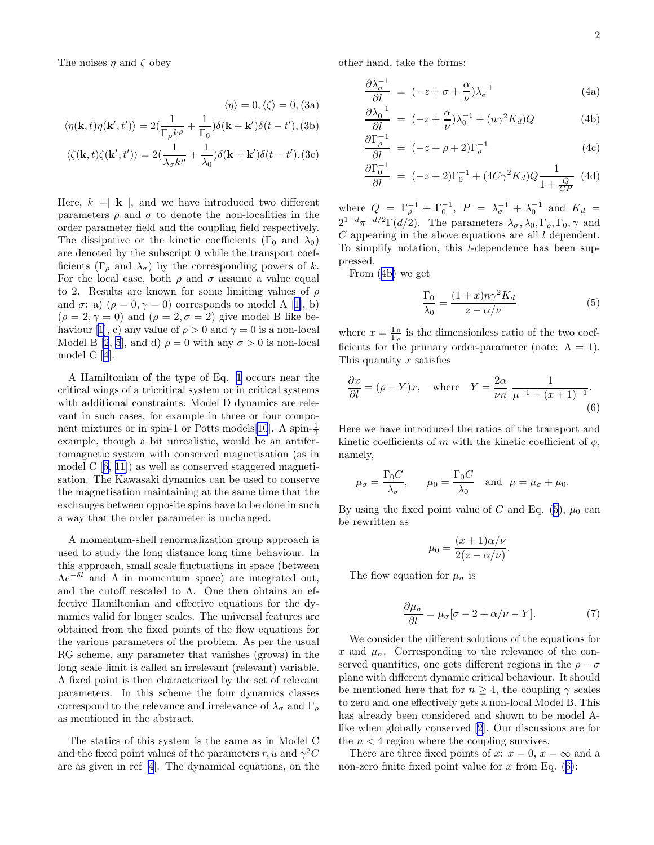The noises  $\eta$  and  $\zeta$  obey

$$
\langle \eta \rangle = 0, \langle \zeta \rangle = 0, (3a)
$$

$$
\langle \eta(\mathbf{k}, t) \eta(\mathbf{k}', t') \rangle = 2(\frac{1}{\Gamma \cdot k'} + \frac{1}{\Gamma \cdot k}) \delta(\mathbf{k} + \mathbf{k}') \delta(t - t'), (3b)
$$

$$
\langle \zeta(\mathbf{k},t)\zeta(\mathbf{k}',t') \rangle = 2(\frac{1}{\lambda_{\sigma}k^{\rho}} + \frac{1}{\lambda_{0}})\delta(\mathbf{k} + \mathbf{k}')\delta(t - t').(3c)
$$

Here,  $k = \mathbf{k}$ , and we have introduced two different parameters  $\rho$  and  $\sigma$  to denote the non-localities in the order parameter field and the coupling field respectively. The dissipative or the kinetic coefficients ( $\Gamma_0$  and  $\lambda_0$ ) are denoted by the subscript 0 while the transport coefficients (Γ<sub>ρ</sub> and  $\lambda_{\sigma}$ ) by the corresponding powers of k. For the local case, both  $\rho$  and  $\sigma$  assume a value equal to 2. Results are known for some limiting values of  $\rho$ and $\sigma$ : a)  $(\rho = 0, \gamma = 0)$  corresponds to model A [[1\]](#page-3-0), b)  $(\rho = 2, \gamma = 0)$  and  $(\rho = 2, \sigma = 2)$  give model B like be-haviour [\[1](#page-3-0)], c) any value of  $\rho > 0$  and  $\gamma = 0$  is a non-local Model B [\[2](#page-3-0), [5](#page-3-0)], and d)  $\rho = 0$  with any  $\sigma > 0$  is non-local model C[[4\]](#page-3-0).

A Hamiltonian of the type of Eq. [1](#page-0-0) occurs near the critical wings of a tricritical system or in critical systems with additional constraints. Model D dynamics are relevant in such cases, for example in three or four component mixtures or in spin-1 or Potts models $[10]$  $[10]$ . A spin- $\frac{1}{2}$ example, though a bit unrealistic, would be an antiferromagnetic system with conserved magnetisation (as in modelC  $[6, 11]$  $[6, 11]$  as well as conserved staggered magnetisation. The Kawasaki dynamics can be used to conserve the magnetisation maintaining at the same time that the exchanges between opposite spins have to be done in such a way that the order parameter is unchanged.

A momentum-shell renormalization group approach is used to study the long distance long time behaviour. In this approach, small scale fluctuations in space (between  $\Lambda e^{-\delta l}$  and  $\Lambda$  in momentum space) are integrated out, and the cutoff rescaled to  $\Lambda$ . One then obtains an effective Hamiltonian and effective equations for the dynamics valid for longer scales. The universal features are obtained from the fixed points of the flow equations for the various parameters of the problem. As per the usual RG scheme, any parameter that vanishes (grows) in the long scale limit is called an irrelevant (relevant) variable. A fixed point is then characterized by the set of relevant parameters. In this scheme the four dynamics classes correspond to the relevance and irrelevance of  $\lambda_{\sigma}$  and  $\Gamma_{\rho}$ as mentioned in the abstract.

The statics of this system is the same as in Model C and the fixed point values of the parameters r, u and  $\gamma^2 C$ are as given in ref [\[4](#page-3-0)]. The dynamical equations, on the other hand, take the forms:

$$
\frac{\partial \lambda_{\sigma}^{-1}}{\partial l} = (-z + \sigma + \frac{\alpha}{\nu})\lambda_{\sigma}^{-1}
$$
 (4a)

$$
\frac{\partial \lambda_0^{-1}}{\partial l} = (-z + \frac{\alpha}{\nu})\lambda_0^{-1} + (n\gamma^2 K_d)Q \tag{4b}
$$

$$
\frac{\partial \Gamma_{\rho}^{-1}}{\partial l} = (-z + \rho + 2)\Gamma_{\rho}^{-1}
$$
 (4c)

$$
\frac{\partial \Gamma_0^{-1}}{\partial l} = (-z+2)\Gamma_0^{-1} + (4C\gamma^2 K_d)Q \frac{1}{1 + \frac{Q}{CP}} \tag{4d}
$$

where  $Q = \Gamma_{\rho}^{-1} + \Gamma_{0}^{-1}$ ,  $P = \lambda_{\sigma}^{-1} + \lambda_{0}^{-1}$  and  $K_{d} =$  $2^{1-d}\pi^{-d/2}\Gamma(d/2)$ . The parameters  $\lambda_{\sigma}$ ,  $\lambda_{0}$ ,  $\Gamma_{\rho}$ ,  $\Gamma_{0}$ ,  $\gamma$  and  $C$  appearing in the above equations are all  $l$  dependent. To simplify notation, this l-dependence has been suppressed.

From (4b) we get

$$
\frac{\Gamma_0}{\lambda_0} = \frac{(1+x)n\gamma^2 K_d}{z - \alpha/\nu} \tag{5}
$$

where  $x = \frac{\Gamma_0}{\Gamma_\rho}$  is the dimensionless ratio of the two coefficients for the primary order-parameter (note:  $\Lambda = 1$ ). This quantity  $x$  satisfies

$$
\frac{\partial x}{\partial l} = (\rho - Y)x, \quad \text{where} \quad Y = \frac{2\alpha}{\nu n} \frac{1}{\mu^{-1} + (x+1)^{-1}}.
$$
\n(6)

Here we have introduced the ratios of the transport and kinetic coefficients of m with the kinetic coefficient of  $\phi$ , namely,

$$
\mu_{\sigma} = \frac{\Gamma_0 C}{\lambda_{\sigma}},
$$
\n $\mu_0 = \frac{\Gamma_0 C}{\lambda_0}$  and  $\mu = \mu_{\sigma} + \mu_0$ .

By using the fixed point value of C and Eq. (5),  $\mu_0$  can be rewritten as

$$
\mu_0 = \frac{(x+1)\alpha/\nu}{2(z-\alpha/\nu)}.
$$

The flow equation for  $\mu_{\sigma}$  is

$$
\frac{\partial \mu_{\sigma}}{\partial l} = \mu_{\sigma} [\sigma - 2 + \alpha/\nu - Y]. \tag{7}
$$

We consider the different solutions of the equations for x and  $\mu_{\sigma}$ . Corresponding to the relevance of the conserved quantities, one gets different regions in the  $\rho - \sigma$ plane with different dynamic critical behaviour. It should be mentioned here that for  $n \geq 4$ , the coupling  $\gamma$  scales to zero and one effectively gets a non-local Model B. This has already been considered and shown to be model Alike when globally conserved [\[2](#page-3-0)]. Our discussions are for the  $n < 4$  region where the coupling survives.

There are three fixed points of x:  $x = 0$ ,  $x = \infty$  and a non-zero finite fixed point value for x from Eq.  $(6)$ :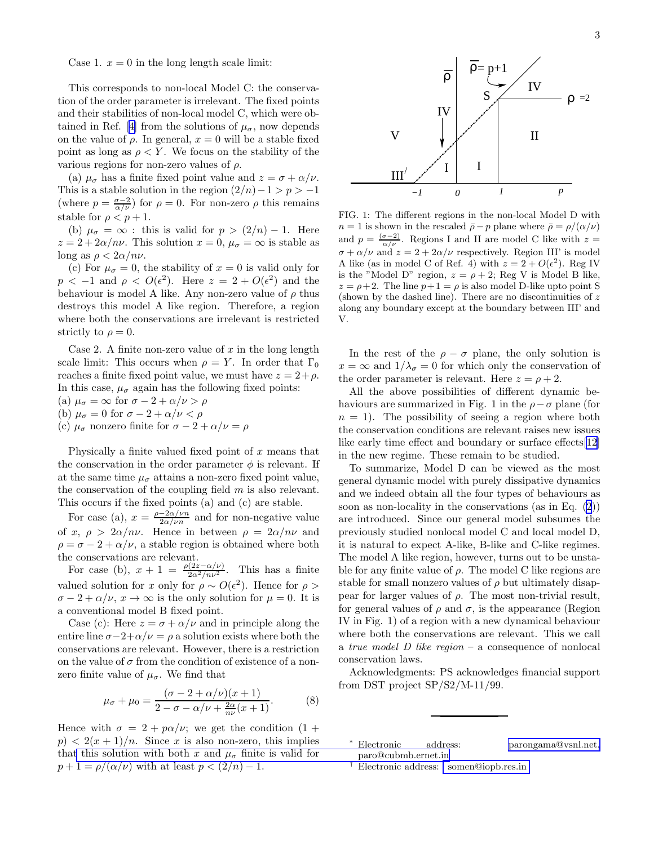<span id="page-2-0"></span>Case 1.  $x = 0$  in the long length scale limit:

This corresponds to non-local Model C: the conservation of the order parameter is irrelevant. The fixed points and their stabilities of non-local model C, which were ob-tainedin Ref. [[4\]](#page-3-0) from the solutions of  $\mu_{\sigma}$ , now depends on the value of  $\rho$ . In general,  $x = 0$  will be a stable fixed point as long as  $\rho \langle Y$ . We focus on the stability of the various regions for non-zero values of  $\rho$ .

(a)  $\mu_{\sigma}$  has a finite fixed point value and  $z = \sigma + \alpha/\nu$ . This is a stable solution in the region  $(2/n)-1 > p > -1$ (where  $p = \frac{\sigma - 2}{\alpha/\nu}$ ) for  $\rho = 0$ . For non-zero  $\rho$  this remains stable for  $\rho < p + 1$ .

(b)  $\mu_{\sigma} = \infty$ : this is valid for  $p > (2/n) - 1$ . Here  $z = 2 + 2\alpha/n\nu$ . This solution  $x = 0$ ,  $\mu_{\sigma} = \infty$  is stable as long as  $\rho < 2\alpha/n\nu$ .

(c) For  $\mu_{\sigma} = 0$ , the stability of  $x = 0$  is valid only for  $p < -1$  and  $\rho < O(\epsilon^2)$ . Here  $z = 2 + O(\epsilon^2)$  and the behaviour is model A like. Any non-zero value of  $\rho$  thus destroys this model A like region. Therefore, a region where both the conservations are irrelevant is restricted strictly to  $\rho = 0$ .

Case 2. A finite non-zero value of  $x$  in the long length scale limit: This occurs when  $\rho = Y$ . In order that  $\Gamma_0$ reaches a finite fixed point value, we must have  $z = 2 + \rho$ . In this case,  $\mu_{\sigma}$  again has the following fixed points: (a)  $\mu_{\sigma} = \infty$  for  $\sigma - 2 + \alpha/\nu > \rho$ (b)  $\mu_{\sigma} = 0$  for  $\sigma - 2 + \alpha/\nu < \rho$ 

(c)  $\mu_{\sigma}$  nonzero finite for  $\sigma - 2 + \alpha/\nu = \rho$ 

Physically a finite valued fixed point of  $x$  means that the conservation in the order parameter  $\phi$  is relevant. If at the same time  $\mu_{\sigma}$  attains a non-zero fixed point value, the conservation of the coupling field  $m$  is also relevant. This occurs if the fixed points (a) and (c) are stable.

For case (a),  $x = \frac{\rho - 2\alpha/\nu n}{2\alpha/\nu n}$  and for non-negative value of x,  $\rho > 2\alpha/n\nu$ . Hence in between  $\rho = 2\alpha/n\nu$  and  $\rho = \sigma - 2 + \alpha/\nu$ , a stable region is obtained where both the conservations are relevant.

For case (b),  $x + 1 = \frac{\rho(2z-\alpha/\nu)}{2\alpha^2/n\nu^2}$ . This has a finite valued solution for x only for  $\rho \sim O(\epsilon^2)$ . Hence for  $\rho >$  $\sigma - 2 + \alpha/\nu$ ,  $x \to \infty$  is the only solution for  $\mu = 0$ . It is a conventional model B fixed point.

Case (c): Here  $z = \sigma + \alpha/\nu$  and in principle along the entire line  $\sigma-2+\alpha/\nu = \rho$  a solution exists where both the conservations are relevant. However, there is a restriction on the value of  $\sigma$  from the condition of existence of a nonzero finite value of  $\mu_{\sigma}$ . We find that

$$
\mu_{\sigma} + \mu_0 = \frac{(\sigma - 2 + \alpha/\nu)(x + 1)}{2 - \sigma - \alpha/\nu + \frac{2\alpha}{n\nu}(x + 1)}.
$$
 (8)

Hence with  $\sigma = 2 + p\alpha/\nu$ ; we get the condition  $(1 +$  $p$ ) <  $2(x+1)/n$ . Since x is also non-zero, this implies tha[t this solution with both](mailto:parongama@vsnl.net, paro@cubmb.ernet.in) x and  $\mu_{\sigma}$  finite is valid for  $p+1 = \rho/(\alpha/\nu)$  with at least  $p < (2/n) - 1$ .



FIG. 1: The different regions in the non-local Model D with  $n = 1$  is shown in the rescaled  $\bar{\rho} - p$  plane where  $\bar{\rho} = \rho/(\alpha/\nu)$ and  $p = \frac{(\sigma - 2)}{\alpha/\nu}$ . Regions I and II are model C like with  $z =$  $\sigma + \alpha/\nu$  and  $z = 2 + 2\alpha/\nu$  respectively. Region III' is model A like (as in model C of Ref. 4) with  $z = 2 + O(\epsilon^2)$ . Reg IV is the "Model D" region,  $z = \rho + 2$ ; Reg V is Model B like,  $z = \rho + 2$ . The line  $p + 1 = \rho$  is also model D-like upto point S (shown by the dashed line). There are no discontinuities of  $z$ along any boundary except at the boundary between III' and V.

In the rest of the  $\rho - \sigma$  plane, the only solution is  $x = \infty$  and  $1/\lambda_{\sigma} = 0$  for which only the conservation of the order parameter is relevant. Here  $z = \rho + 2$ .

All the above possibilities of different dynamic behaviours are summarized in Fig. 1 in the  $\rho - \sigma$  plane (for  $n = 1$ ). The possibility of seeing a region where both the conservation conditions are relevant raises new issues like early time effect and boundary or surface effects[\[12](#page-3-0)] in the new regime. These remain to be studied.

To summarize, Model D can be viewed as the most general dynamic model with purely dissipative dynamics and we indeed obtain all the four types of behaviours as soon as non-locality in the conservations (as in Eq. [\(2](#page-0-0))) are introduced. Since our general model subsumes the previously studied nonlocal model C and local model D, it is natural to expect A-like, B-like and C-like regimes. The model A like region, however, turns out to be unstable for any finite value of  $\rho$ . The model C like regions are stable for small nonzero values of  $\rho$  but ultimately disappear for larger values of  $\rho$ . The most non-trivial result, for general values of  $\rho$  and  $\sigma$ , is the appearance (Region IV in Fig. 1) of a region with a new dynamical behaviour where both the conservations are relevant. This we call a true model D like region – a consequence of nonlocal conservation laws.

Acknowledgments: PS acknowledges financial support from DST project SP/S2/M-11/99.

- <sup>∗</sup> Electronic address: [parongama@vsnl.net,](mailto:parongama@vsnl.net, paro@cubmb.ernet.in) paro@cubmb.ernet.in
- † Electronic address: [somen@iopb.res.in](mailto: somen@iopb.res.in )